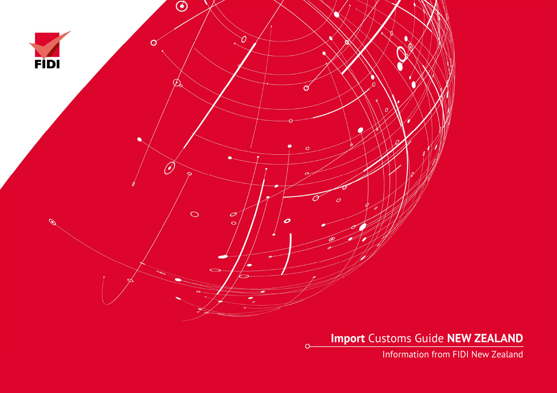

 $\Omega$ 

**Import** Customs Guide **NEW ZEALAND** 

Information from FIDI New Zealand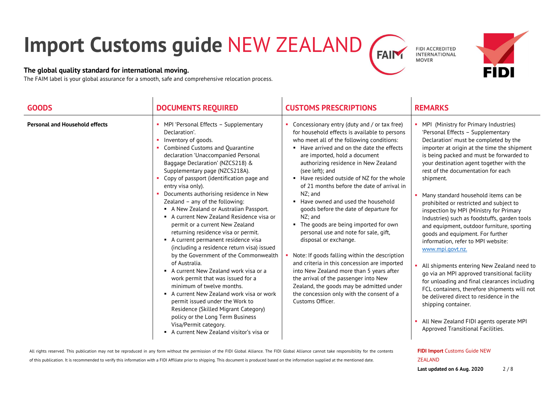# **Import Customs guide** NEW ZEALAND**FAIN**

### **The global quality standard for international moving.**

The FAIM label is your global assurance for a smooth, safe and comprehensive relocation process.

| <b>GOODS</b>                          | <b>DOCUMENTS REQUIRED</b>                                                                                                                                                                                                                                                                                                                                                                                                                                                                                                                                                                                                                                                                                                                                                                                                                                                                                                                                                                                                          | <b>CUSTOMS PRESCRIPTIONS</b>                                                                                                                                                                                                                                                                                                                                                                                                                                                                                                                                                                                                                                                                                                                                                                                                                                                                         | <b>REMARKS</b>                                                                                                                                                                                                                                                                                                                                                                                                                                                                                                                                                                                                                                                                                                                                                                                                                                                                                                                                                                            |
|---------------------------------------|------------------------------------------------------------------------------------------------------------------------------------------------------------------------------------------------------------------------------------------------------------------------------------------------------------------------------------------------------------------------------------------------------------------------------------------------------------------------------------------------------------------------------------------------------------------------------------------------------------------------------------------------------------------------------------------------------------------------------------------------------------------------------------------------------------------------------------------------------------------------------------------------------------------------------------------------------------------------------------------------------------------------------------|------------------------------------------------------------------------------------------------------------------------------------------------------------------------------------------------------------------------------------------------------------------------------------------------------------------------------------------------------------------------------------------------------------------------------------------------------------------------------------------------------------------------------------------------------------------------------------------------------------------------------------------------------------------------------------------------------------------------------------------------------------------------------------------------------------------------------------------------------------------------------------------------------|-------------------------------------------------------------------------------------------------------------------------------------------------------------------------------------------------------------------------------------------------------------------------------------------------------------------------------------------------------------------------------------------------------------------------------------------------------------------------------------------------------------------------------------------------------------------------------------------------------------------------------------------------------------------------------------------------------------------------------------------------------------------------------------------------------------------------------------------------------------------------------------------------------------------------------------------------------------------------------------------|
| <b>Personal and Household effects</b> | MPI 'Personal Effects - Supplementary<br>Declaration'.<br>Inventory of goods.<br>Combined Customs and Quarantine<br>declaration 'Unaccompanied Personal<br>Baggage Declaration' (NZCS218) &<br>Supplementary page (NZCS218A).<br>Copy of passport (identification page and<br>entry visa only).<br>Documents authorising residence in New<br>Zealand - any of the following:<br>A New Zealand or Australian Passport.<br>A current New Zealand Residence visa or<br>permit or a current New Zealand<br>returning residence visa or permit.<br>A current permanent residence visa<br>(including a residence return visa) issued<br>by the Government of the Commonwealth<br>of Australia.<br>• A current New Zealand work visa or a<br>work permit that was issued for a<br>minimum of twelve months.<br>A current New Zealand work visa or work<br>permit issued under the Work to<br>Residence (Skilled Migrant Category)<br>policy or the Long Term Business<br>Visa/Permit category.<br>A current New Zealand visitor's visa or | Concessionary entry (duty and / or tax free)<br>for household effects is available to persons<br>who meet all of the following conditions:<br>• Have arrived and on the date the effects<br>are imported, hold a document<br>authorizing residence in New Zealand<br>(see left); and<br>Have resided outside of NZ for the whole<br>of 21 months before the date of arrival in<br>NZ; and<br>• Have owned and used the household<br>goods before the date of departure for<br>NZ; and<br>• The goods are being imported for own<br>personal use and note for sale, gift,<br>disposal or exchange.<br>Note: If goods falling within the description<br>and criteria in this concession are imported<br>into New Zealand more than 5 years after<br>the arrival of the passenger into New<br>Zealand, the goods may be admitted under<br>the concession only with the consent of a<br>Customs Officer. | MPI (Ministry for Primary Industries)<br>'Personal Effects - Supplementary<br>Declaration' must be completed by the<br>importer at origin at the time the shipment<br>is being packed and must be forwarded to<br>your destination agent together with the<br>rest of the documentation for each<br>shipment.<br>Many standard household items can be<br>prohibited or restricted and subject to<br>inspection by MPI (Ministry for Primary<br>Industries) such as foodstuffs, garden tools<br>and equipment, outdoor furniture, sporting<br>goods and equipment. For further<br>information, refer to MPI website:<br>www.mpi.govt.nz.<br>• All shipments entering New Zealand need to<br>go via an MPI approved transitional facility<br>for unloading and final clearances including<br>FCL containers, therefore shipments will not<br>be delivered direct to residence in the<br>shipping container.<br>All New Zealand FIDI agents operate MPI<br>Approved Transitional Facilities. |

#### All rights reserved. This publication may not be reproduced in any form without the permission of the FIDI Global Alliance. The FIDI Global Alliance cannot take responsibility for the contents

of this publication. It is recommended to verify this information with a FIDI Affiliate prior to shipping. This document is produced based on the information supplied at the mentioned date.

### **FIDI Import** Customs Guide NEW

ZEALAND



FIDI ACCREDITED<br>INTERNATIONAL

**MOVER** 

#### **Last updated on 6 Aug. 2020** 2 / 8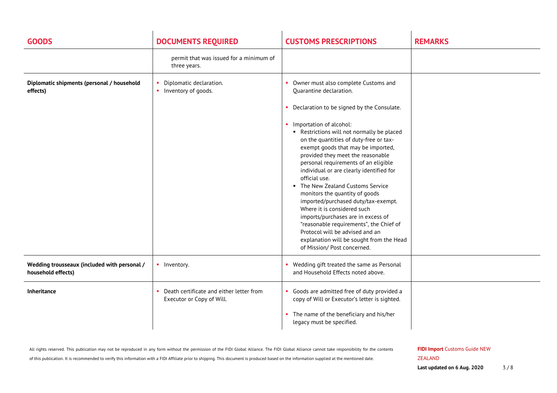| <b>GOODS</b>                                                       | <b>DOCUMENTS REQUIRED</b>                                             | <b>CUSTOMS PRESCRIPTIONS</b>                                                                                                                                                                                                                                                                                                                                                                                                                                                                                                                                                                                                                       | <b>REMARKS</b> |
|--------------------------------------------------------------------|-----------------------------------------------------------------------|----------------------------------------------------------------------------------------------------------------------------------------------------------------------------------------------------------------------------------------------------------------------------------------------------------------------------------------------------------------------------------------------------------------------------------------------------------------------------------------------------------------------------------------------------------------------------------------------------------------------------------------------------|----------------|
|                                                                    | permit that was issued for a minimum of<br>three years.               |                                                                                                                                                                                                                                                                                                                                                                                                                                                                                                                                                                                                                                                    |                |
| Diplomatic shipments (personal / household<br>effects)             | Diplomatic declaration.<br>• Inventory of goods.                      | • Owner must also complete Customs and<br>Quarantine declaration.<br>• Declaration to be signed by the Consulate.<br>• Importation of alcohol:<br>Restrictions will not normally be placed<br>on the quantities of duty-free or tax-<br>exempt goods that may be imported,<br>provided they meet the reasonable<br>personal requirements of an eligible<br>individual or are clearly identified for<br>official use.<br>• The New Zealand Customs Service<br>monitors the quantity of goods<br>imported/purchased duty/tax-exempt.<br>Where it is considered such<br>imports/purchases are in excess of<br>"reasonable requirements", the Chief of |                |
|                                                                    |                                                                       | Protocol will be advised and an<br>explanation will be sought from the Head<br>of Mission/ Post concerned.                                                                                                                                                                                                                                                                                                                                                                                                                                                                                                                                         |                |
| Wedding trousseaux (included with personal /<br>household effects) | • Inventory.                                                          | • Wedding gift treated the same as Personal<br>and Household Effects noted above.                                                                                                                                                                                                                                                                                                                                                                                                                                                                                                                                                                  |                |
| Inheritance                                                        | Death certificate and either letter from<br>Executor or Copy of Will. | Goods are admitted free of duty provided a<br>copy of Will or Executor's letter is sighted.                                                                                                                                                                                                                                                                                                                                                                                                                                                                                                                                                        |                |
|                                                                    |                                                                       | • The name of the beneficiary and his/her<br>legacy must be specified.                                                                                                                                                                                                                                                                                                                                                                                                                                                                                                                                                                             |                |

All rights reserved. This publication may not be reproduced in any form without the permission of the FIDI Global Alliance. The FIDI Global Alliance cannot take responsibility for the contents of this publication. It is recommended to verify this information with a FIDI Affiliate prior to shipping. This document is produced based on the information supplied at the mentioned date.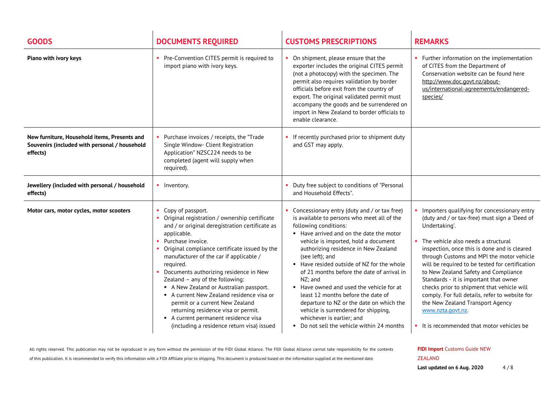| <b>GOODS</b>                                                                                              | <b>DOCUMENTS REQUIRED</b>                                                                                                                                                                                                                                                                                                                                                                                                                                                                                                                                                                               | <b>CUSTOMS PRESCRIPTIONS</b>                                                                                                                                                                                                                                                                                                                                                                                                                                                                                                                                                                                          | <b>REMARKS</b>                                                                                                                                                                                                                                                                                                                                                                                                                                                                                                                                                                                   |
|-----------------------------------------------------------------------------------------------------------|---------------------------------------------------------------------------------------------------------------------------------------------------------------------------------------------------------------------------------------------------------------------------------------------------------------------------------------------------------------------------------------------------------------------------------------------------------------------------------------------------------------------------------------------------------------------------------------------------------|-----------------------------------------------------------------------------------------------------------------------------------------------------------------------------------------------------------------------------------------------------------------------------------------------------------------------------------------------------------------------------------------------------------------------------------------------------------------------------------------------------------------------------------------------------------------------------------------------------------------------|--------------------------------------------------------------------------------------------------------------------------------------------------------------------------------------------------------------------------------------------------------------------------------------------------------------------------------------------------------------------------------------------------------------------------------------------------------------------------------------------------------------------------------------------------------------------------------------------------|
| Piano with ivory keys                                                                                     | • Pre-Convention CITES permit is required to<br>import piano with ivory keys.                                                                                                                                                                                                                                                                                                                                                                                                                                                                                                                           | On shipment, please ensure that the<br>exporter includes the original CITES permit<br>(not a photocopy) with the specimen. The<br>permit also requires validation by border<br>officials before exit from the country of<br>export. The original validated permit must<br>accompany the goods and be surrendered on<br>import in New Zealand to border officials to<br>enable clearance.                                                                                                                                                                                                                              | • Further information on the implementation<br>of CITES from the Department of<br>Conservation website can be found here<br>http://www.doc.govt.nz/about-<br>us/international-agreements/endangered-<br>species/                                                                                                                                                                                                                                                                                                                                                                                 |
| New furniture, Household items, Presents and<br>Souvenirs (included with personal / household<br>effects) | • Purchase invoices / receipts, the "Trade"<br>Single Window- Client Registration<br>Application" NZSC224 needs to be<br>completed (agent will supply when<br>required).                                                                                                                                                                                                                                                                                                                                                                                                                                | • If recently purchased prior to shipment duty<br>and GST may apply.                                                                                                                                                                                                                                                                                                                                                                                                                                                                                                                                                  |                                                                                                                                                                                                                                                                                                                                                                                                                                                                                                                                                                                                  |
| Jewellery (included with personal / household<br>effects)                                                 | • Inventory.                                                                                                                                                                                                                                                                                                                                                                                                                                                                                                                                                                                            | Duty free subject to conditions of "Personal<br>and Household Effects".                                                                                                                                                                                                                                                                                                                                                                                                                                                                                                                                               |                                                                                                                                                                                                                                                                                                                                                                                                                                                                                                                                                                                                  |
| Motor cars, motor cycles, motor scooters                                                                  | Copy of passport.<br>• Original registration / ownership certificate<br>and / or original deregistration certificate as<br>applicable.<br>• Purchase invoice.<br>• Original compliance certificate issued by the<br>manufacturer of the car if applicable /<br>required.<br>Documents authorizing residence in New<br>Zealand - any of the following:<br>A New Zealand or Australian passport.<br>A current New Zealand residence visa or<br>permit or a current New Zealand<br>returning residence visa or permit.<br>A current permanent residence visa<br>(including a residence return visa) issued | Concessionary entry (duty and / or tax free)<br>is available to persons who meet all of the<br>following conditions:<br>Have arrived and on the date the motor<br>vehicle is imported, hold a document<br>authorizing residence in New Zealand<br>(see left); and<br>Have resided outside of NZ for the whole<br>of 21 months before the date of arrival in<br>NZ; and<br>Have owned and used the vehicle for at<br>least 12 months before the date of<br>departure to NZ or the date on which the<br>vehicle is surrendered for shipping,<br>whichever is earlier; and<br>• Do not sell the vehicle within 24 months | Importers qualifying for concessionary entry<br>(duty and / or tax-free) must sign a 'Deed of<br>Undertaking'.<br>• The vehicle also needs a structural<br>inspection, once this is done and is cleared<br>through Customs and MPI the motor vehicle<br>will be required to be tested for certification<br>to New Zealand Safety and Compliance<br>Standards - it is important that owner<br>checks prior to shipment that vehicle will<br>comply. For full details, refer to website for<br>the New Zealand Transport Agency<br>www.nzta.govt.nz.<br>• It is recommended that motor vehicles be |

of this publication. It is recommended to verify this information with a FIDI Affiliate prior to shipping. This document is produced based on the information supplied at the mentioned date.

**FIDI Import** Customs Guide NEW ZEALAND**Last updated on 6 Aug. 2020** 4 / 8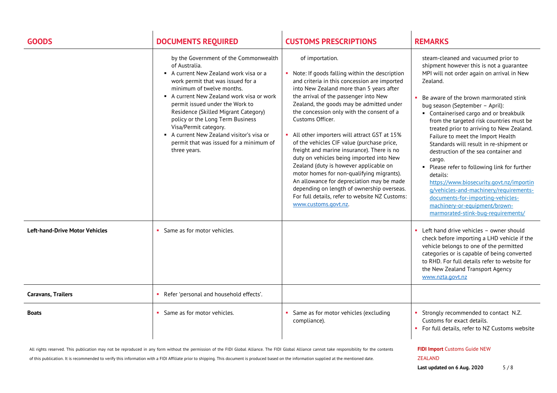| <b>GOODS</b>                          | <b>DOCUMENTS REQUIRED</b>                                                                                                                                                                                                                                                                                                                                                                                                                                 | <b>CUSTOMS PRESCRIPTIONS</b>                                                                                                                                                                                                                                                                                                                                                                                                                                                                                                                                                                                                                                                                                                                                            | <b>REMARKS</b>                                                                                                                                                                                                                                                                                                                                                                                                                                                                                                                                                                                                                                                                                                                                          |
|---------------------------------------|-----------------------------------------------------------------------------------------------------------------------------------------------------------------------------------------------------------------------------------------------------------------------------------------------------------------------------------------------------------------------------------------------------------------------------------------------------------|-------------------------------------------------------------------------------------------------------------------------------------------------------------------------------------------------------------------------------------------------------------------------------------------------------------------------------------------------------------------------------------------------------------------------------------------------------------------------------------------------------------------------------------------------------------------------------------------------------------------------------------------------------------------------------------------------------------------------------------------------------------------------|---------------------------------------------------------------------------------------------------------------------------------------------------------------------------------------------------------------------------------------------------------------------------------------------------------------------------------------------------------------------------------------------------------------------------------------------------------------------------------------------------------------------------------------------------------------------------------------------------------------------------------------------------------------------------------------------------------------------------------------------------------|
|                                       | by the Government of the Commonwealth<br>of Australia.<br>A current New Zealand work visa or a<br>work permit that was issued for a<br>minimum of twelve months.<br>A current New Zealand work visa or work<br>permit issued under the Work to<br>Residence (Skilled Migrant Category)<br>policy or the Long Term Business<br>Visa/Permit category.<br>A current New Zealand visitor's visa or<br>permit that was issued for a minimum of<br>three years. | of importation.<br>• Note: If goods falling within the description<br>and criteria in this concession are imported<br>into New Zealand more than 5 years after<br>the arrival of the passenger into New<br>Zealand, the goods may be admitted under<br>the concession only with the consent of a<br>Customs Officer.<br>All other importers will attract GST at 15%<br>of the vehicles CIF value (purchase price,<br>freight and marine insurance). There is no<br>duty on vehicles being imported into New<br>Zealand (duty is however applicable on<br>motor homes for non-qualifying migrants).<br>An allowance for depreciation may be made<br>depending on length of ownership overseas.<br>For full details, refer to website NZ Customs:<br>www.customs.govt.nz. | steam-cleaned and vacuumed prior to<br>shipment however this is not a guarantee<br>MPI will not order again on arrival in New<br>Zealand.<br>Be aware of the brown marmorated stink<br>bug season (September - April):<br>• Containerised cargo and or breakbulk<br>from the targeted risk countries must be<br>treated prior to arriving to New Zealand.<br>Failure to meet the Import Health<br>Standards will result in re-shipment or<br>destruction of the sea container and<br>cargo.<br>Please refer to following link for further<br>details:<br>https://www.biosecurity.govt.nz/importin<br>g/vehicles-and-machinery/requirements-<br>documents-for-importing-vehicles-<br>machinery-or-equipment/brown-<br>marmorated-stink-bug-requirements/ |
| <b>Left-hand-Drive Motor Vehicles</b> | Same as for motor vehicles.                                                                                                                                                                                                                                                                                                                                                                                                                               |                                                                                                                                                                                                                                                                                                                                                                                                                                                                                                                                                                                                                                                                                                                                                                         | • Left hand drive vehicles – owner should<br>check before importing a LHD vehicle if the<br>vehicle belongs to one of the permitted<br>categories or is capable of being converted<br>to RHD. For full details refer to website for<br>the New Zealand Transport Agency<br>www.nzta.govt.nz                                                                                                                                                                                                                                                                                                                                                                                                                                                             |
| <b>Caravans, Trailers</b>             | Refer 'personal and household effects'.                                                                                                                                                                                                                                                                                                                                                                                                                   |                                                                                                                                                                                                                                                                                                                                                                                                                                                                                                                                                                                                                                                                                                                                                                         |                                                                                                                                                                                                                                                                                                                                                                                                                                                                                                                                                                                                                                                                                                                                                         |
| <b>Boats</b>                          | Same as for motor vehicles.                                                                                                                                                                                                                                                                                                                                                                                                                               | Same as for motor vehicles (excluding<br>compliance).                                                                                                                                                                                                                                                                                                                                                                                                                                                                                                                                                                                                                                                                                                                   | Strongly recommended to contact N.Z.<br>Customs for exact details.<br>• For full details, refer to NZ Customs website                                                                                                                                                                                                                                                                                                                                                                                                                                                                                                                                                                                                                                   |
|                                       | All rights reserved. This publication may not be reproduced in any form without the permission of the FIDI Global Alliance. The FIDI Global Alliance cannot take responsibility for the contents                                                                                                                                                                                                                                                          |                                                                                                                                                                                                                                                                                                                                                                                                                                                                                                                                                                                                                                                                                                                                                                         | <b>FIDI Import Customs Guide NEW</b>                                                                                                                                                                                                                                                                                                                                                                                                                                                                                                                                                                                                                                                                                                                    |

of this publication. It is recommended to verify this information with a FIDI Affiliate prior to shipping. This document is produced based on the information supplied at the mentioned date.

**Last updated on 6 Aug. 2020** 5 / 8

ZEALAND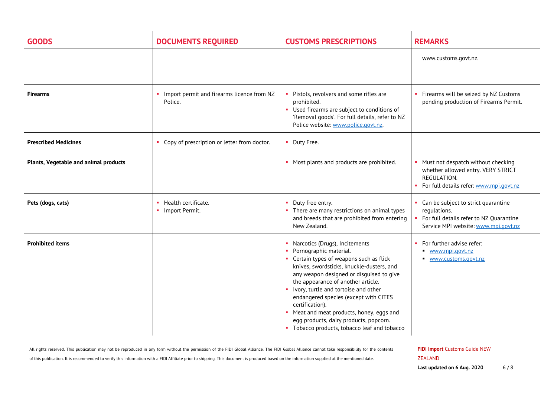| <b>GOODS</b>                          | <b>DOCUMENTS REQUIRED</b>                             | <b>CUSTOMS PRESCRIPTIONS</b>                                                                                                                                                                                                                                                                                                                                                                                                                                               | <b>REMARKS</b>                                                                                                                             |
|---------------------------------------|-------------------------------------------------------|----------------------------------------------------------------------------------------------------------------------------------------------------------------------------------------------------------------------------------------------------------------------------------------------------------------------------------------------------------------------------------------------------------------------------------------------------------------------------|--------------------------------------------------------------------------------------------------------------------------------------------|
|                                       |                                                       |                                                                                                                                                                                                                                                                                                                                                                                                                                                                            | www.customs.govt.nz.                                                                                                                       |
| <b>Firearms</b>                       | Import permit and firearms licence from NZ<br>Police. | Pistols, revolvers and some rifles are<br>prohibited.<br>Used firearms are subject to conditions of<br>'Removal goods'. For full details, refer to NZ<br>Police website: www.police.govt.nz.                                                                                                                                                                                                                                                                               | • Firearms will be seized by NZ Customs<br>pending production of Firearms Permit.                                                          |
| <b>Prescribed Medicines</b>           | • Copy of prescription or letter from doctor.         | Duty Free.                                                                                                                                                                                                                                                                                                                                                                                                                                                                 |                                                                                                                                            |
| Plants, Vegetable and animal products |                                                       | • Most plants and products are prohibited.                                                                                                                                                                                                                                                                                                                                                                                                                                 | • Must not despatch without checking<br>whether allowed entry. VERY STRICT<br>REGULATION.<br>For full details refer: www.mpi.govt.nz       |
| Pets (dogs, cats)                     | • Health certificate.<br>• Import Permit.             | Duty free entry.<br>• There are many restrictions on animal types<br>and breeds that are prohibited from entering<br>New Zealand.                                                                                                                                                                                                                                                                                                                                          | • Can be subject to strict quarantine<br>regulations.<br>• For full details refer to NZ Quarantine<br>Service MPI website: www.mpi.govt.nz |
| <b>Prohibited items</b>               |                                                       | Narcotics (Drugs), Incitements<br>Pornographic material.<br>• Certain types of weapons such as flick<br>knives, swordsticks, knuckle-dusters, and<br>any weapon designed or disguised to give<br>the appearance of another article.<br>Ivory, turtle and tortoise and other<br>endangered species (except with CITES<br>certification).<br>Meat and meat products, honey, eggs and<br>egg products, dairy products, popcorn.<br>Tobacco products, tobacco leaf and tobacco | For further advise refer:<br>www.mpi.govt.nz<br>www.customs.govt.nz                                                                        |

of this publication. It is recommended to verify this information with a FIDI Affiliate prior to shipping. This document is produced based on the information supplied at the mentioned date.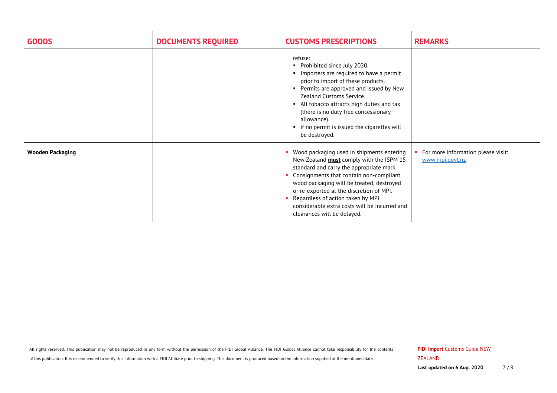| <b>GOODS</b>            | <b>DOCUMENTS REQUIRED</b> | <b>CUSTOMS PRESCRIPTIONS</b>                                                                                                                                                                                                                                                                                                                                                                      | <b>REMARKS</b>                                        |
|-------------------------|---------------------------|---------------------------------------------------------------------------------------------------------------------------------------------------------------------------------------------------------------------------------------------------------------------------------------------------------------------------------------------------------------------------------------------------|-------------------------------------------------------|
|                         |                           | refuse:<br>• Prohibited since July 2020.<br>Importers are required to have a permit<br>prior to import of these products.<br>• Permits are approved and issued by New<br>Zealand Customs Service.<br>• All tobacco attracts high duties and tax<br>(there is no duty free concessionary<br>allowance).<br>• if no permit is issued the cigarettes will<br>be destroyed.                           |                                                       |
| <b>Wooden Packaging</b> |                           | Wood packaging used in shipments entering<br>New Zealand <b>must</b> comply with the ISPM 15<br>standard and carry the appropriate mark.<br>Consignments that contain non-compliant<br>wood packaging will be treated, destroyed<br>or re-exported at the discretion of MPI.<br>Regardless of action taken by MPI<br>considerable extra costs will be incurred and<br>clearances will be delayed. | For more information please visit:<br>www.mpi.govt.nz |

of this publication. It is recommended to verify this information with a FIDI Affiliate prior to shipping. This document is produced based on the information supplied at the mentioned date.